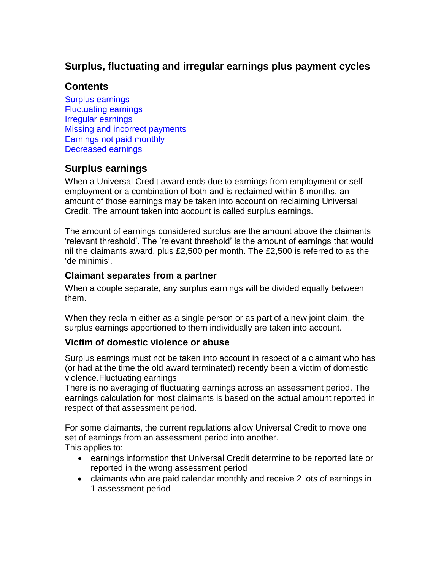# **Surplus, fluctuating and irregular earnings plus payment cycles**

# **Contents**

<span id="page-0-2"></span>[Surplus earnings](#page-0-0) [Fluctuating earnings](#page-0-1) [Irregular earnings](#page-1-0) [Missing and incorrect payments](#page-0-2) [Earnings not paid monthly](#page-2-0) [Decreased earnings](#page-3-0)

# <span id="page-0-0"></span>**Surplus earnings**

When a Universal Credit award ends due to earnings from employment or selfemployment or a combination of both and is reclaimed within 6 months, an amount of those earnings may be taken into account on reclaiming Universal Credit. The amount taken into account is called surplus earnings.

The amount of earnings considered surplus are the amount above the claimants 'relevant threshold'. The 'relevant threshold' is the amount of earnings that would nil the claimants award, plus £2,500 per month. The £2,500 is referred to as the 'de minimis'.

### **Claimant separates from a partner**

When a couple separate, any surplus earnings will be divided equally between them.

When they reclaim either as a single person or as part of a new joint claim, the surplus earnings apportioned to them individually are taken into account.

### **Victim of domestic violence or abuse**

Surplus earnings must not be taken into account in respect of a claimant who has (or had at the time the old award terminated) recently been a victim of domestic violence.Fluctuating earnings

<span id="page-0-1"></span>There is no averaging of fluctuating earnings across an assessment period. The earnings calculation for most claimants is based on the actual amount reported in respect of that assessment period.

For some claimants, the current regulations allow Universal Credit to move one set of earnings from an assessment period into another.

This applies to:

- earnings information that Universal Credit determine to be reported late or reported in the wrong assessment period
- claimants who are paid calendar monthly and receive 2 lots of earnings in 1 assessment period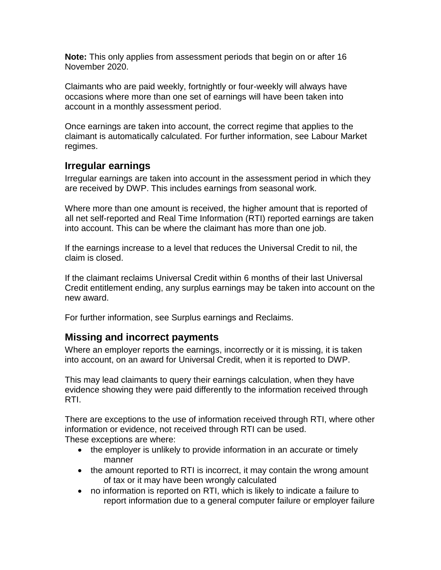**Note:** This only applies from assessment periods that begin on or after 16 November 2020.

Claimants who are paid weekly, fortnightly or four-weekly will always have occasions where more than one set of earnings will have been taken into account in a monthly assessment period.

Once earnings are taken into account, the correct regime that applies to the claimant is automatically calculated. For further information, see Labour Market regimes.

## <span id="page-1-0"></span>**Irregular earnings**

Irregular earnings are taken into account in the assessment period in which they are received by DWP. This includes earnings from seasonal work.

Where more than one amount is received, the higher amount that is reported of all net self-reported and Real Time Information (RTI) reported earnings are taken into account. This can be where the claimant has more than one job.

If the earnings increase to a level that reduces the Universal Credit to nil, the claim is closed.

If the claimant reclaims Universal Credit within 6 months of their last Universal Credit entitlement ending, any surplus earnings may be taken into account on the new award.

For further information, see Surplus earnings and Reclaims.

## **Missing and incorrect payments**

Where an employer reports the earnings, incorrectly or it is missing, it is taken into account, on an award for Universal Credit, when it is reported to DWP.

This may lead claimants to query their earnings calculation, when they have evidence showing they were paid differently to the information received through RTI.

There are exceptions to the use of information received through RTI, where other information or evidence, not received through RTI can be used. These exceptions are where:

- the employer is unlikely to provide information in an accurate or timely manner
- the amount reported to RTI is incorrect, it may contain the wrong amount of tax or it may have been wrongly calculated
- no information is reported on RTI, which is likely to indicate a failure to report information due to a general computer failure or employer failure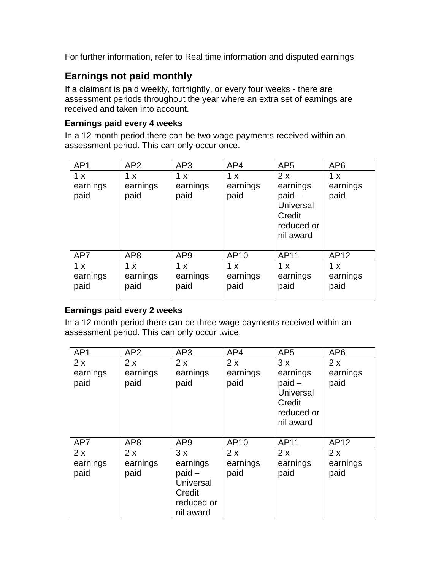For further information, refer to Real time information and disputed earnings

# <span id="page-2-0"></span>**Earnings not paid monthly**

If a claimant is paid weekly, fortnightly, or every four weeks - there are assessment periods throughout the year where an extra set of earnings are received and taken into account.

#### **Earnings paid every 4 weeks**

In a 12-month period there can be two wage payments received within an assessment period. This can only occur once.

| AP <sub>1</sub>         | AP2                     | AP3                     | AP4                     | AP <sub>5</sub>                                                                     | AP <sub>6</sub>         |
|-------------------------|-------------------------|-------------------------|-------------------------|-------------------------------------------------------------------------------------|-------------------------|
| 1 x<br>earnings<br>paid | 1 x<br>earnings<br>paid | 1 x<br>earnings<br>paid | 1 x<br>earnings<br>paid | 2x<br>earnings<br>$paid -$<br><b>Universal</b><br>Credit<br>reduced or<br>nil award | 1 x<br>earnings<br>paid |
| AP7                     | AP <sub>8</sub>         | AP <sub>9</sub>         | AP10                    | AP11                                                                                | AP12                    |
| 1 x<br>earnings<br>paid | 1 x<br>earnings<br>paid | 1 x<br>earnings<br>paid | 1 x<br>earnings<br>paid | 1 x<br>earnings<br>paid                                                             | 1 x<br>earnings<br>paid |

### **Earnings paid every 2 weeks**

In a 12 month period there can be three wage payments received within an assessment period. This can only occur twice.

| AP1                    | AP <sub>2</sub>        | AP3                                                                          | AP4                    | AP <sub>5</sub>                                                                     | AP <sub>6</sub>        |
|------------------------|------------------------|------------------------------------------------------------------------------|------------------------|-------------------------------------------------------------------------------------|------------------------|
| 2x<br>earnings<br>paid | 2x<br>earnings<br>paid | 2x<br>earnings<br>paid                                                       | 2x<br>earnings<br>paid | 3x<br>earnings<br>$paid -$<br><b>Universal</b><br>Credit<br>reduced or<br>nil award | 2x<br>earnings<br>paid |
| AP7                    | AP <sub>8</sub>        | AP <sub>9</sub>                                                              | AP10                   | AP11                                                                                | AP12                   |
| 2x<br>earnings<br>paid | 2x<br>earnings<br>paid | 3x<br>earnings<br>$paid -$<br>Universal<br>Credit<br>reduced or<br>nil award | 2x<br>earnings<br>paid | 2x<br>earnings<br>paid                                                              | 2x<br>earnings<br>paid |